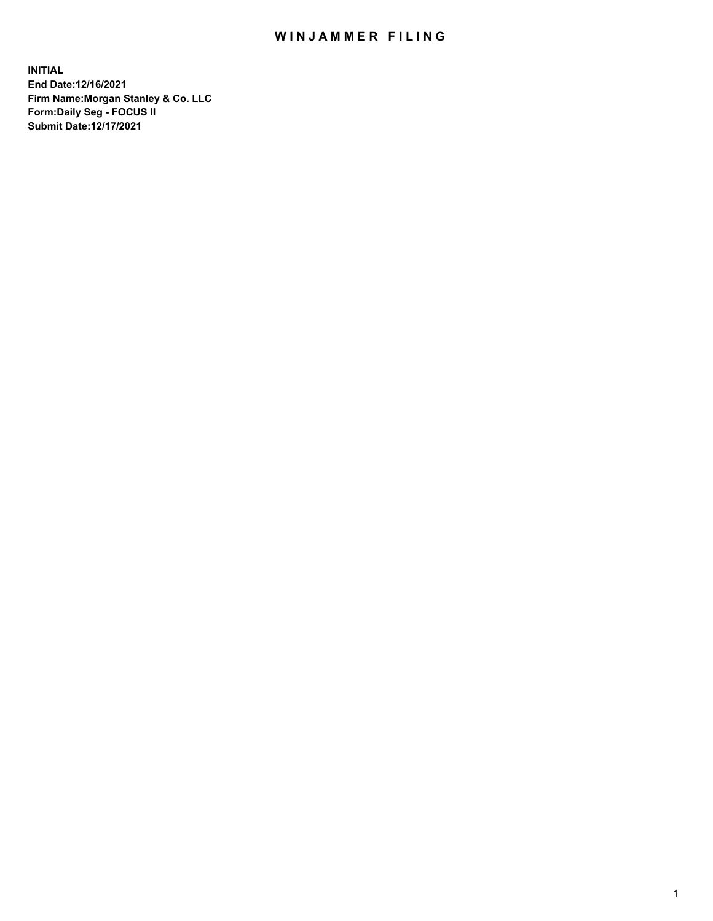## WIN JAMMER FILING

**INITIAL End Date:12/16/2021 Firm Name:Morgan Stanley & Co. LLC Form:Daily Seg - FOCUS II Submit Date:12/17/2021**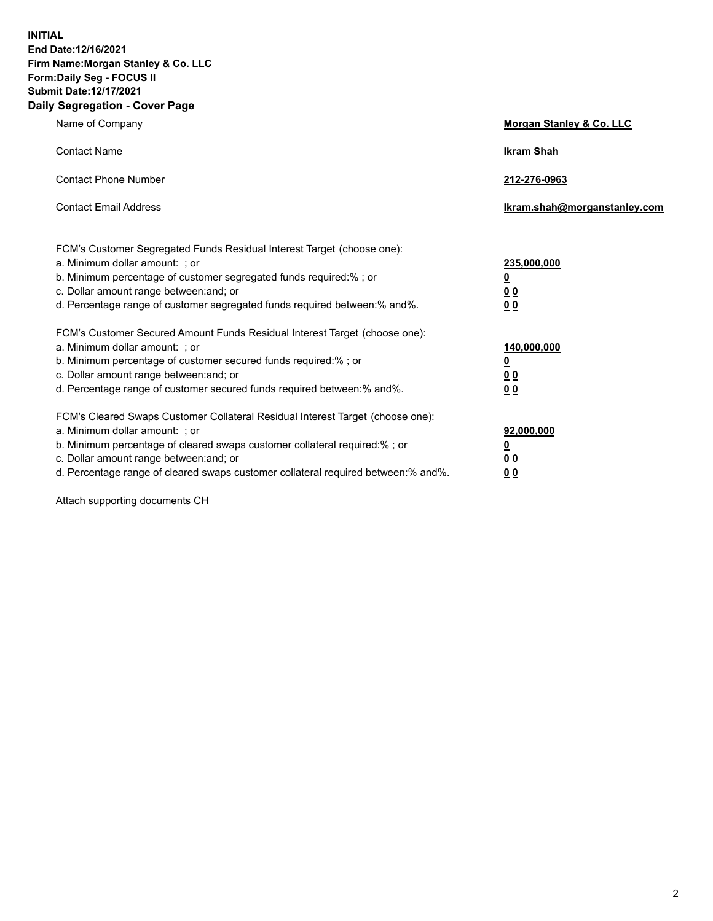**INITIAL End Date:12/16/2021 Firm Name:Morgan Stanley & Co. LLC Form:Daily Seg - FOCUS II Submit Date:12/17/2021 Daily Segregation - Cover Page**

| Name of Company                                                                                                                                                                                                                                                                                                               | Morgan Stanley & Co. LLC                               |
|-------------------------------------------------------------------------------------------------------------------------------------------------------------------------------------------------------------------------------------------------------------------------------------------------------------------------------|--------------------------------------------------------|
| <b>Contact Name</b>                                                                                                                                                                                                                                                                                                           | <b>Ikram Shah</b>                                      |
| <b>Contact Phone Number</b>                                                                                                                                                                                                                                                                                                   | 212-276-0963                                           |
| <b>Contact Email Address</b>                                                                                                                                                                                                                                                                                                  | Ikram.shah@morganstanley.com                           |
| FCM's Customer Segregated Funds Residual Interest Target (choose one):<br>a. Minimum dollar amount: ; or<br>b. Minimum percentage of customer segregated funds required:% ; or<br>c. Dollar amount range between: and; or<br>d. Percentage range of customer segregated funds required between:% and%.                        | 235,000,000<br><u>0</u><br><u>00</u><br>0 <sup>0</sup> |
| FCM's Customer Secured Amount Funds Residual Interest Target (choose one):<br>a. Minimum dollar amount: ; or<br>b. Minimum percentage of customer secured funds required:%; or<br>c. Dollar amount range between: and; or<br>d. Percentage range of customer secured funds required between:% and%.                           | 140,000,000<br><u>0</u><br><u>00</u><br>0 <sub>0</sub> |
| FCM's Cleared Swaps Customer Collateral Residual Interest Target (choose one):<br>a. Minimum dollar amount: ; or<br>b. Minimum percentage of cleared swaps customer collateral required:%; or<br>c. Dollar amount range between: and; or<br>d. Percentage range of cleared swaps customer collateral required between:% and%. | 92,000,000<br><u>0</u><br>0 Q<br>00                    |

Attach supporting documents CH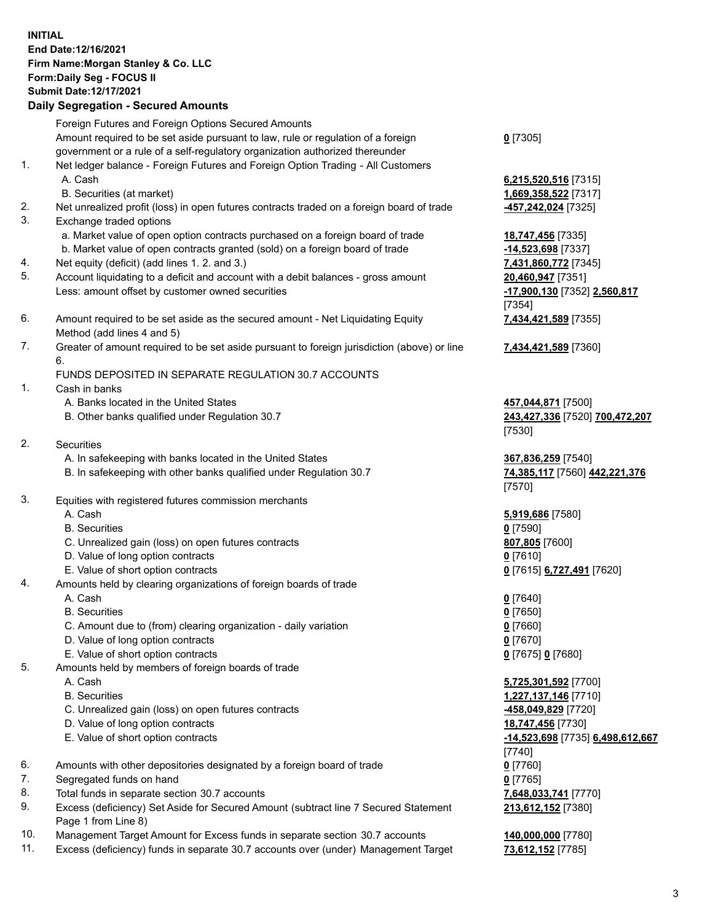## **INITIAL End Date:12/16/2021 Firm Name:Morgan Stanley & Co. LLC Form:Daily Seg - FOCUS II Submit Date:12/17/2021**

## **Daily Segregation - Secured Amounts**

Foreign Futures and Foreign Options Secured Amounts Amount required to be set aside pursuant to law, rule or regulation of a foreign government or a rule of a self-regulatory organization authorized thereunder 1. Net ledger balance - Foreign Futures and Foreign Option Trading - All Customers A. Cash **6,215,520,516** [7315] B. Securities (at market) **1,669,358,522** [7317] 2. Net unrealized profit (loss) in open futures contracts traded on a foreign board of trade **-457,242,024** [7325] 3. Exchange traded options a. Market value of open option contracts purchased on a foreign board of trade **18,747,456** [7335] b. Market value of open contracts granted (sold) on a foreign board of trade **-14,523,698** [7337] 4. Net equity (deficit) (add lines 1. 2. and 3.) **7,431,860,772** [7345] 5. Account liquidating to a deficit and account with a debit balances - gross amount **20,460,947** [7351] Less: amount offset by customer owned securities **-17,900,130** [7352] **2,560,817**

- 6. Amount required to be set aside as the secured amount Net Liquidating Equity Method (add lines 4 and 5)
- 7. Greater of amount required to be set aside pursuant to foreign jurisdiction (above) or line 6.

## FUNDS DEPOSITED IN SEPARATE REGULATION 30.7 ACCOUNTS

- 1. Cash in banks
	- A. Banks located in the United States **457,044,871** [7500]
	- B. Other banks qualified under Regulation 30.7 **243,427,336** [7520] **700,472,207**
- 2. Securities
	- A. In safekeeping with banks located in the United States **367,836,259** [7540]
	- B. In safekeeping with other banks qualified under Regulation 30.7 **74,385,117** [7560] **442,221,376**
- 3. Equities with registered futures commission merchants
	-
	- B. Securities **0** [7590]
	- C. Unrealized gain (loss) on open futures contracts **807,805** [7600]
	- D. Value of long option contracts **0** [7610]
	- E. Value of short option contracts **0** [7615] **6,727,491** [7620]
- 4. Amounts held by clearing organizations of foreign boards of trade
	- A. Cash **0** [7640]
	- B. Securities **0** [7650]
	- C. Amount due to (from) clearing organization daily variation **0** [7660]
	- D. Value of long option contracts **0** [7670]
	- E. Value of short option contracts **0** [7675] **0** [7680]
- 5. Amounts held by members of foreign boards of trade
	-
	-
	- C. Unrealized gain (loss) on open futures contracts **-458,049,829** [7720]
	- D. Value of long option contracts **18,747,456** [7730]
	- E. Value of short option contracts **-14,523,698** [7735] **6,498,612,667**
- 6. Amounts with other depositories designated by a foreign board of trade **0** [7760]
- 7. Segregated funds on hand **0** [7765]
- 8. Total funds in separate section 30.7 accounts **7,648,033,741** [7770]
- 9. Excess (deficiency) Set Aside for Secured Amount (subtract line 7 Secured Statement Page 1 from Line 8)
- 10. Management Target Amount for Excess funds in separate section 30.7 accounts **140,000,000** [7780]
- 11. Excess (deficiency) funds in separate 30.7 accounts over (under) Management Target **73,612,152** [7785]

**0** [7305]

[7354] **7,434,421,589** [7355]

**7,434,421,589** [7360]

[7530]

[7570]

A. Cash **5,919,686** [7580]

 A. Cash **5,725,301,592** [7700] B. Securities **1,227,137,146** [7710] [7740] **213,612,152** [7380]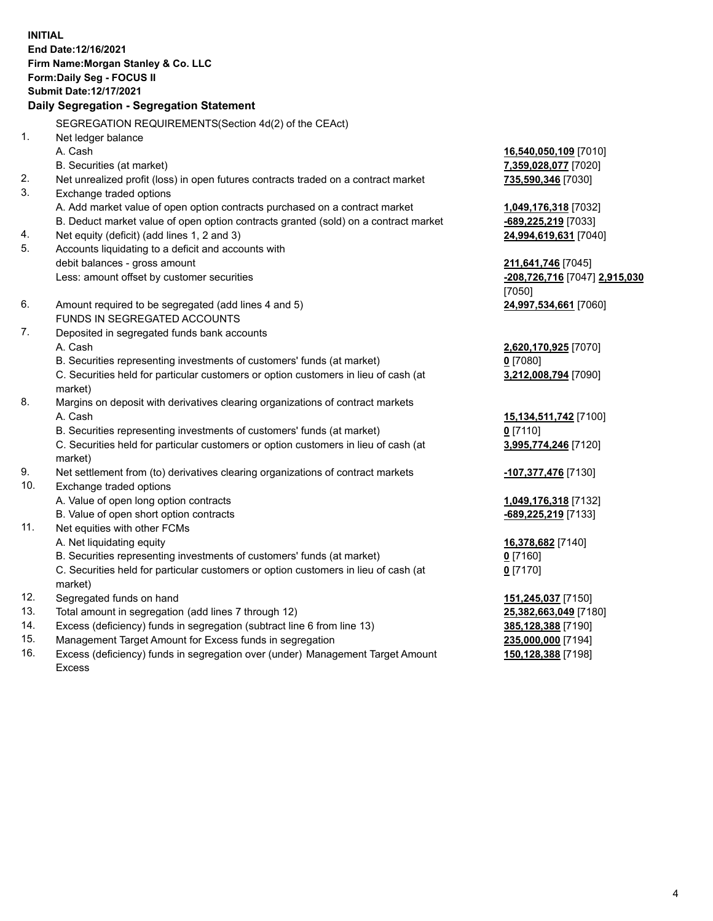**INITIAL End Date:12/16/2021 Firm Name:Morgan Stanley & Co. LLC Form:Daily Seg - FOCUS II Submit Date:12/17/2021 Daily Segregation - Segregation Statement** SEGREGATION REQUIREMENTS(Section 4d(2) of the CEAct) 1. Net ledger balance A. Cash **16,540,050,109** [7010] B. Securities (at market) **7,359,028,077** [7020] 2. Net unrealized profit (loss) in open futures contracts traded on a contract market **735,590,346** [7030] 3. Exchange traded options A. Add market value of open option contracts purchased on a contract market **1,049,176,318** [7032] B. Deduct market value of open option contracts granted (sold) on a contract market **-689,225,219** [7033] 4. Net equity (deficit) (add lines 1, 2 and 3) **24,994,619,631** [7040] 5. Accounts liquidating to a deficit and accounts with debit balances - gross amount **211,641,746** [7045] Less: amount offset by customer securities **-208,726,716** [7047] **2,915,030** [7050] 6. Amount required to be segregated (add lines 4 and 5) **24,997,534,661** [7060] FUNDS IN SEGREGATED ACCOUNTS 7. Deposited in segregated funds bank accounts A. Cash **2,620,170,925** [7070] B. Securities representing investments of customers' funds (at market) **0** [7080] C. Securities held for particular customers or option customers in lieu of cash (at market) **3,212,008,794** [7090] 8. Margins on deposit with derivatives clearing organizations of contract markets A. Cash **15,134,511,742** [7100] B. Securities representing investments of customers' funds (at market) **0** [7110] C. Securities held for particular customers or option customers in lieu of cash (at market) **3,995,774,246** [7120] 9. Net settlement from (to) derivatives clearing organizations of contract markets **-107,377,476** [7130] 10. Exchange traded options A. Value of open long option contracts **1,049,176,318** [7132] B. Value of open short option contracts **and the set of our original contracts -689,225,219** [7133] 11. Net equities with other FCMs A. Net liquidating equity **16,378,682** [7140] B. Securities representing investments of customers' funds (at market) **0** [7160] C. Securities held for particular customers or option customers in lieu of cash (at market) **0** [7170] 12. Segregated funds on hand **151,245,037** [7150] 13. Total amount in segregation (add lines 7 through 12) **25,382,663,049** [7180] 14. Excess (deficiency) funds in segregation (subtract line 6 from line 13) **385,128,388** [7190] 15. Management Target Amount for Excess funds in segregation **235,000,000** [7194]

16. Excess (deficiency) funds in segregation over (under) Management Target Amount Excess

**150,128,388** [7198]